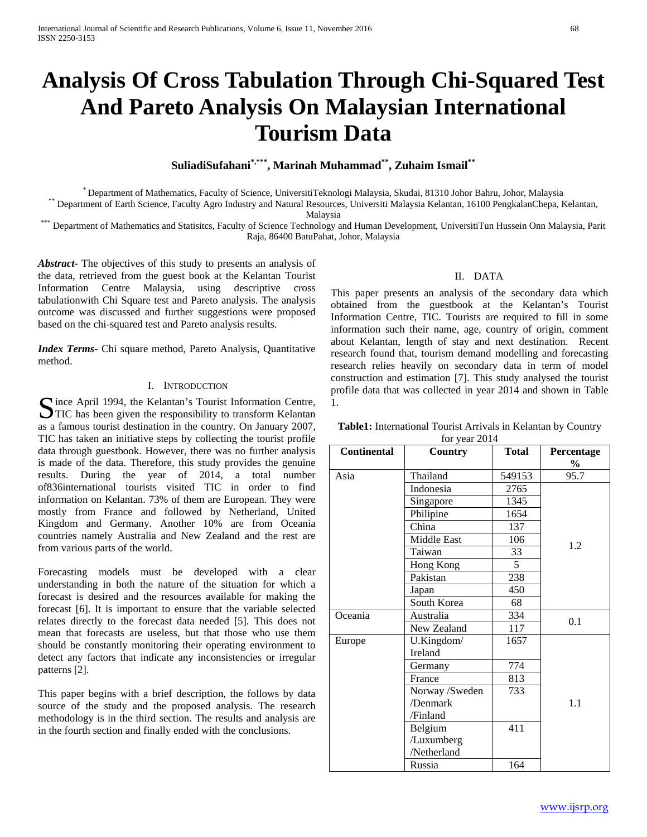# **Analysis Of Cross Tabulation Through Chi-Squared Test And Pareto Analysis On Malaysian International Tourism Data**

**SuliadiSufahani\*,\*\*\*, Marinah Muhammad\*\*, Zuhaim Ismail\*\***

\* Department of Mathematics, Faculty of Science, UniversitiTeknologi Malaysia, Skudai, 81310 Johor Bahru, Johor, Malaysia<br>Department of Earth Science, Faculty Agro Industry and Natural Resources, Universiti Malaysia Kelant

Malaysia<br>Department of Mathematics and Statisitcs, Faculty of Science Technology and Human Development, UniversitiTun Hussein Onn Malaysia, Parit Raja, 86400 BatuPahat, Johor, Malaysia

*Abstract***-** The objectives of this study to presents an analysis of the data, retrieved from the guest book at the Kelantan Tourist Information Centre Malaysia, using descriptive cross tabulationwith Chi Square test and Pareto analysis. The analysis outcome was discussed and further suggestions were proposed based on the chi-squared test and Pareto analysis results.

*Index Terms*- Chi square method, Pareto Analysis, Quantitative method.

#### I. INTRODUCTION

Since April 1994, the Kelantan's Tourist Information Centre,<br>TIC has been given the responsibility to transform Kelantan  $\sum$  TIC has been given the responsibility to transform Kelantan as a famous tourist destination in the country. On January 2007, TIC has taken an initiative steps by collecting the tourist profile data through guestbook. However, there was no further analysis is made of the data. Therefore, this study provides the genuine results. During the year of 2014, a total number of836international tourists visited TIC in order to find information on Kelantan. 73% of them are European. They were mostly from France and followed by Netherland, United Kingdom and Germany. Another 10% are from Oceania countries namely Australia and New Zealand and the rest are from various parts of the world.

Forecasting models must be developed with a clear understanding in both the nature of the situation for which a forecast is desired and the resources available for making the forecast [6]. It is important to ensure that the variable selected relates directly to the forecast data needed [5]. This does not mean that forecasts are useless, but that those who use them should be constantly monitoring their operating environment to detect any factors that indicate any inconsistencies or irregular patterns [2].

This paper begins with a brief description, the follows by data source of the study and the proposed analysis. The research methodology is in the third section. The results and analysis are in the fourth section and finally ended with the conclusions.

# II. DATA

This paper presents an analysis of the secondary data which obtained from the guestbook at the Kelantan's Tourist Information Centre, TIC. Tourists are required to fill in some information such their name, age, country of origin, comment about Kelantan, length of stay and next destination. Recent research found that, tourism demand modelling and forecasting research relies heavily on secondary data in term of model construction and estimation [7]. This study analysed the tourist profile data that was collected in year 2014 and shown in Table 1.

| <b>Continental</b> | Country            | <b>Total</b> | Percentage<br>$\%$ |
|--------------------|--------------------|--------------|--------------------|
| Asia               | Thailand           | 549153       | 95.7               |
|                    | Indonesia          | 2765         |                    |
|                    | Singapore          | 1345         |                    |
|                    | Philipine          | 1654         |                    |
|                    | China              | 137          |                    |
|                    | <b>Middle East</b> | 106          |                    |
|                    | Taiwan             | 33           | 1.2                |
|                    | Hong Kong          | 5            |                    |
|                    | Pakistan           | 238          |                    |
|                    | Japan              | 450          |                    |
|                    | South Korea        | 68           |                    |
| Oceania            | Australia          | 334          | 0.1                |
|                    | New Zealand        | 117          |                    |
| Europe             | U.Kingdom/         | 1657         |                    |
|                    | Ireland            |              |                    |
|                    | Germany            | 774          |                    |
|                    | France             | 813          |                    |
|                    | Norway /Sweden     | 733          |                    |
|                    | /Denmark           |              | 1.1                |
|                    | /Finland           |              |                    |
|                    | Belgium            | 411          |                    |
|                    | /Luxumberg         |              |                    |
|                    | /Netherland        |              |                    |
|                    | Russia             | 164          |                    |

**Table1:** International Tourist Arrivals in Kelantan by Country  $0.014$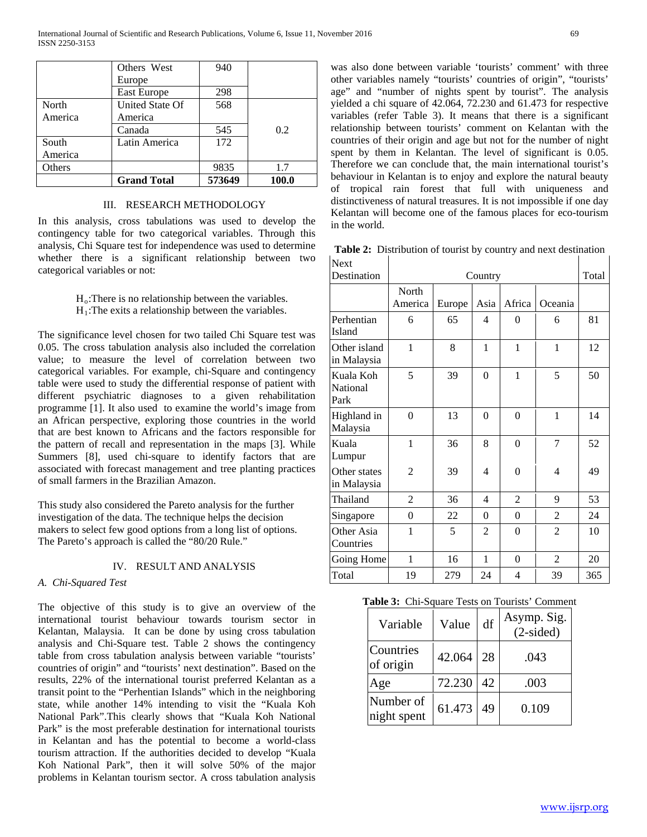|         | Others West        | 940    |       |
|---------|--------------------|--------|-------|
|         | Europe             |        |       |
|         | East Europe        | 298    |       |
| North   | United State Of    | 568    |       |
| America | America            |        |       |
|         | Canada             | 545    | 0.2   |
| South   | Latin America      | 172    |       |
| America |                    |        |       |
| Others  |                    | 9835   | 1.7   |
|         | <b>Grand Total</b> | 573649 | 100.0 |

# III. RESEARCH METHODOLOGY

In this analysis, cross tabulations was used to develop the contingency table for two categorical variables. Through this analysis, Chi Square test for independence was used to determine whether there is a significant relationship between two categorical variables or not:

# $H_0$ : There is no relationship between the variables.  $H_1$ : The exits a relationship between the variables.

The significance level chosen for two tailed Chi Square test was 0.05. The cross tabulation analysis also included the correlation value; to measure the level of correlation between two categorical variables. For example, chi-Square and contingency table were used to study the differential response of patient with different psychiatric diagnoses to a given rehabilitation programme [1]. It also used to examine the world's image from an African perspective, exploring those countries in the world that are best known to Africans and the factors responsible for the pattern of recall and representation in the maps [3]. While Summers [8], used chi-square to identify factors that are associated with forecast management and tree planting practices of small farmers in the Brazilian Amazon.

This study also considered the Pareto analysis for the further investigation of the data. The technique helps the decision makers to select few good options from a long list of options. The Pareto's approach is called the "80/20 Rule."

#### IV. RESULT AND ANALYSIS

#### *A. Chi-Squared Test*

The objective of this study is to give an overview of the international tourist behaviour towards tourism sector in Kelantan, Malaysia. It can be done by using cross tabulation analysis and Chi-Square test. Table 2 shows the contingency table from cross tabulation analysis between variable "tourists' countries of origin" and "tourists' next destination". Based on the results, 22% of the international tourist preferred Kelantan as a transit point to the "Perhentian Islands" which in the neighboring state, while another 14% intending to visit the "Kuala Koh National Park".This clearly shows that "Kuala Koh National Park" is the most preferable destination for international tourists in Kelantan and has the potential to become a world-class tourism attraction. If the authorities decided to develop "Kuala Koh National Park", then it will solve 50% of the major problems in Kelantan tourism sector. A cross tabulation analysis

was also done between variable 'tourists' comment' with three other variables namely "tourists' countries of origin", "tourists' age" and "number of nights spent by tourist". The analysis yielded a chi square of 42.064, 72.230 and 61.473 for respective variables (refer Table 3). It means that there is a significant relationship between tourists' comment on Kelantan with the countries of their origin and age but not for the number of night spent by them in Kelantan. The level of significant is 0.05. Therefore we can conclude that, the main international tourist's behaviour in Kelantan is to enjoy and explore the natural beauty of tropical rain forest that full with uniqueness and distinctiveness of natural treasures. It is not impossible if one day Kelantan will become one of the famous places for eco-tourism in the world.

**Table 2:** Distribution of tourist by country and next destination

| <b>Next</b>                   |                  |        |                          |                |                |     |
|-------------------------------|------------------|--------|--------------------------|----------------|----------------|-----|
| Destination                   | Country          |        |                          |                | Total          |     |
|                               | North<br>America | Europe | Asia                     | Africa         | Oceania        |     |
| Perhentian<br>Island          | 6                | 65     | $\overline{\mathcal{L}}$ | $\overline{0}$ | 6              | 81  |
| Other island<br>in Malaysia   | $\mathbf{1}$     | 8      | $\mathbf{1}$             | 1              | $\mathbf{1}$   | 12  |
| Kuala Koh<br>National<br>Park | 5                | 39     | $\theta$                 | $\mathbf{1}$   | 5              | 50  |
| Highland in<br>Malaysia       | $\theta$         | 13     | $\theta$                 | $\theta$       | $\mathbf{1}$   | 14  |
| Kuala<br>Lumpur               | $\mathbf{1}$     | 36     | 8                        | $\theta$       | 7              | 52  |
| Other states<br>in Malaysia   | $\overline{2}$   | 39     | $\overline{4}$           | $\theta$       | 4              | 49  |
| Thailand                      | 2                | 36     | $\overline{\mathcal{L}}$ | $\overline{2}$ | 9              | 53  |
| Singapore                     | $\overline{0}$   | 22     | 0                        | $\theta$       | 2              | 24  |
| Other Asia<br>Countries       | 1                | 5      | $\overline{2}$           | $\theta$       | $\overline{2}$ | 10  |
| Going Home                    | $\mathbf{1}$     | 16     | 1                        | $\theta$       | $\overline{c}$ | 20  |
| Total                         | 19               | 279    | 24                       | 4              | 39             | 365 |

|--|

| Variable                 | Value  | df  | Asymp. Sig.<br>$(2-sided)$ |
|--------------------------|--------|-----|----------------------------|
| Countries<br>of origin   | 42.064 | 28  | .043                       |
| Age                      | 72.230 | 42. | .003                       |
| Number of<br>night spent | 61.473 | 49  | 0.109                      |